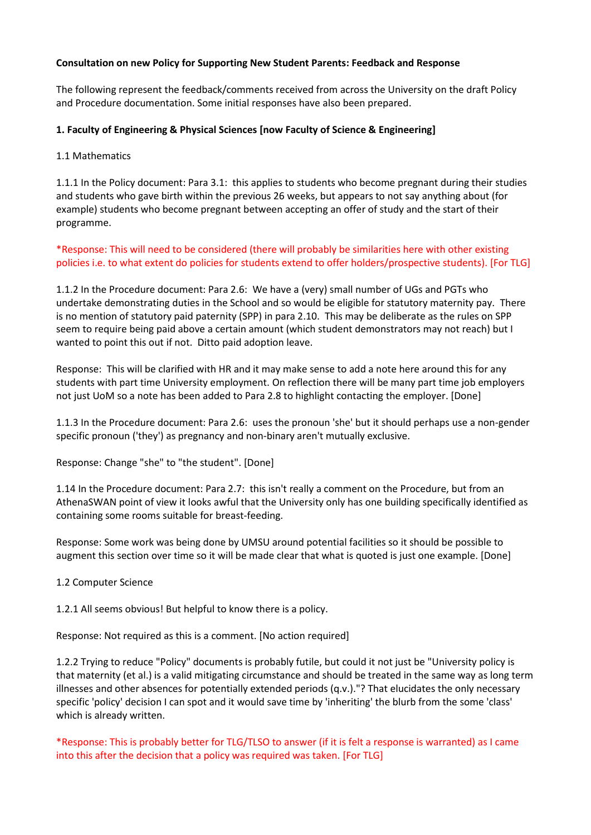## **Consultation on new Policy for Supporting New Student Parents: Feedback and Response**

The following represent the feedback/comments received from across the University on the draft Policy and Procedure documentation. Some initial responses have also been prepared.

## **1. Faculty of Engineering & Physical Sciences [now Faculty of Science & Engineering]**

### 1.1 Mathematics

1.1.1 In the Policy document: Para 3.1: this applies to students who become pregnant during their studies and students who gave birth within the previous 26 weeks, but appears to not say anything about (for example) students who become pregnant between accepting an offer of study and the start of their programme.

\*Response: This will need to be considered (there will probably be similarities here with other existing policies i.e. to what extent do policies for students extend to offer holders/prospective students). [For TLG]

1.1.2 In the Procedure document: Para 2.6: We have a (very) small number of UGs and PGTs who undertake demonstrating duties in the School and so would be eligible for statutory maternity pay. There is no mention of statutory paid paternity (SPP) in para 2.10. This may be deliberate as the rules on SPP seem to require being paid above a certain amount (which student demonstrators may not reach) but I wanted to point this out if not. Ditto paid adoption leave.

Response: This will be clarified with HR and it may make sense to add a note here around this for any students with part time University employment. On reflection there will be many part time job employers not just UoM so a note has been added to Para 2.8 to highlight contacting the employer. [Done]

1.1.3 In the Procedure document: Para 2.6: uses the pronoun 'she' but it should perhaps use a non-gender specific pronoun ('they') as pregnancy and non-binary aren't mutually exclusive.

Response: Change "she" to "the student". [Done]

1.14 In the Procedure document: Para 2.7: this isn't really a comment on the Procedure, but from an AthenaSWAN point of view it looks awful that the University only has one building specifically identified as containing some rooms suitable for breast-feeding.

Response: Some work was being done by UMSU around potential facilities so it should be possible to augment this section over time so it will be made clear that what is quoted is just one example. [Done]

#### 1.2 Computer Science

1.2.1 All seems obvious! But helpful to know there is a policy.

Response: Not required as this is a comment. [No action required]

1.2.2 Trying to reduce "Policy" documents is probably futile, but could it not just be "University policy is that maternity (et al.) is a valid mitigating circumstance and should be treated in the same way as long term illnesses and other absences for potentially extended periods (q.v.)."? That elucidates the only necessary specific 'policy' decision I can spot and it would save time by 'inheriting' the blurb from the some 'class' which is already written.

\*Response: This is probably better for TLG/TLSO to answer (if it is felt a response is warranted) as I came into this after the decision that a policy was required was taken. [For TLG]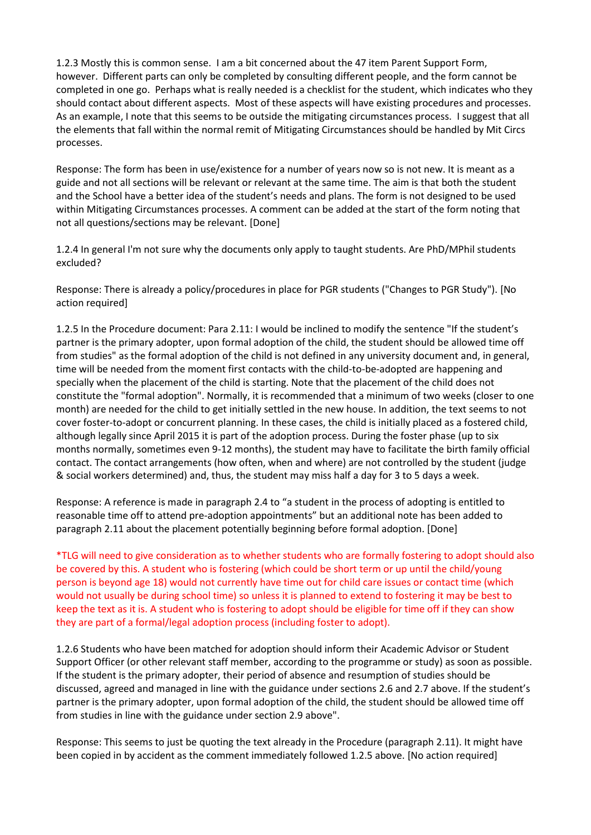1.2.3 Mostly this is common sense. I am a bit concerned about the 47 item Parent Support Form, however. Different parts can only be completed by consulting different people, and the form cannot be completed in one go. Perhaps what is really needed is a checklist for the student, which indicates who they should contact about different aspects. Most of these aspects will have existing procedures and processes. As an example, I note that this seems to be outside the mitigating circumstances process. I suggest that all the elements that fall within the normal remit of Mitigating Circumstances should be handled by Mit Circs processes.

Response: The form has been in use/existence for a number of years now so is not new. It is meant as a guide and not all sections will be relevant or relevant at the same time. The aim is that both the student and the School have a better idea of the student's needs and plans. The form is not designed to be used within Mitigating Circumstances processes. A comment can be added at the start of the form noting that not all questions/sections may be relevant. [Done]

1.2.4 In general I'm not sure why the documents only apply to taught students. Are PhD/MPhil students excluded?

Response: There is already a policy/procedures in place for PGR students ("Changes to PGR Study"). [No action required]

1.2.5 In the Procedure document: Para 2.11: I would be inclined to modify the sentence "If the student's partner is the primary adopter, upon formal adoption of the child, the student should be allowed time off from studies" as the formal adoption of the child is not defined in any university document and, in general, time will be needed from the moment first contacts with the child-to-be-adopted are happening and specially when the placement of the child is starting. Note that the placement of the child does not constitute the "formal adoption". Normally, it is recommended that a minimum of two weeks (closer to one month) are needed for the child to get initially settled in the new house. In addition, the text seems to not cover foster-to-adopt or concurrent planning. In these cases, the child is initially placed as a fostered child, although legally since April 2015 it is part of the adoption process. During the foster phase (up to six months normally, sometimes even 9-12 months), the student may have to facilitate the birth family official contact. The contact arrangements (how often, when and where) are not controlled by the student (judge & social workers determined) and, thus, the student may miss half a day for 3 to 5 days a week.

Response: A reference is made in paragraph 2.4 to "a student in the process of adopting is entitled to reasonable time off to attend pre-adoption appointments" but an additional note has been added to paragraph 2.11 about the placement potentially beginning before formal adoption. [Done]

\*TLG will need to give consideration as to whether students who are formally fostering to adopt should also be covered by this. A student who is fostering (which could be short term or up until the child/young person is beyond age 18) would not currently have time out for child care issues or contact time (which would not usually be during school time) so unless it is planned to extend to fostering it may be best to keep the text as it is. A student who is fostering to adopt should be eligible for time off if they can show they are part of a formal/legal adoption process (including foster to adopt).

1.2.6 Students who have been matched for adoption should inform their Academic Advisor or Student Support Officer (or other relevant staff member, according to the programme or study) as soon as possible. If the student is the primary adopter, their period of absence and resumption of studies should be discussed, agreed and managed in line with the guidance under sections 2.6 and 2.7 above. If the student's partner is the primary adopter, upon formal adoption of the child, the student should be allowed time off from studies in line with the guidance under section 2.9 above".

Response: This seems to just be quoting the text already in the Procedure (paragraph 2.11). It might have been copied in by accident as the comment immediately followed 1.2.5 above. [No action required]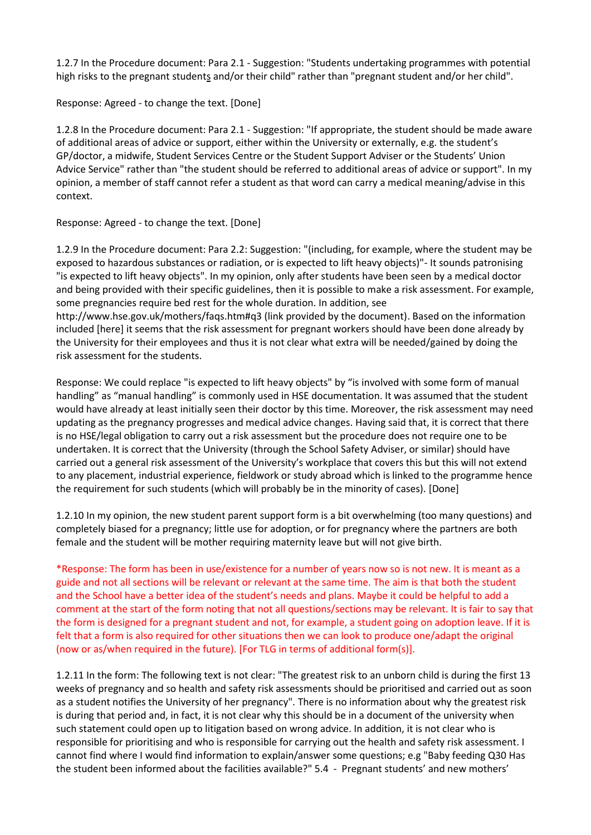1.2.7 In the Procedure document: Para 2.1 - Suggestion: "Students undertaking programmes with potential high risks to the pregnant students and/or their child" rather than "pregnant student and/or her child".

Response: Agreed - to change the text. [Done]

1.2.8 In the Procedure document: Para 2.1 - Suggestion: "If appropriate, the student should be made aware of additional areas of advice or support, either within the University or externally, e.g. the student's GP/doctor, a midwife, Student Services Centre or the Student Support Adviser or the Students' Union Advice Service" rather than "the student should be referred to additional areas of advice or support". In my opinion, a member of staff cannot refer a student as that word can carry a medical meaning/advise in this context.

Response: Agreed - to change the text. [Done]

1.2.9 In the Procedure document: Para 2.2: Suggestion: "(including, for example, where the student may be exposed to hazardous substances or radiation, or is expected to lift heavy objects)"- It sounds patronising "is expected to lift heavy objects". In my opinion, only after students have been seen by a medical doctor and being provided with their specific guidelines, then it is possible to make a risk assessment. For example, some pregnancies require bed rest for the whole duration. In addition, see http://www.hse.gov.uk/mothers/faqs.htm#q3 (link provided by the document). Based on the information included [here] it seems that the risk assessment for pregnant workers should have been done already by the University for their employees and thus it is not clear what extra will be needed/gained by doing the risk assessment for the students.

Response: We could replace "is expected to lift heavy objects" by "is involved with some form of manual handling" as "manual handling" is commonly used in HSE documentation. It was assumed that the student would have already at least initially seen their doctor by this time. Moreover, the risk assessment may need updating as the pregnancy progresses and medical advice changes. Having said that, it is correct that there is no HSE/legal obligation to carry out a risk assessment but the procedure does not require one to be undertaken. It is correct that the University (through the School Safety Adviser, or similar) should have carried out a general risk assessment of the University's workplace that covers this but this will not extend to any placement, industrial experience, fieldwork or study abroad which is linked to the programme hence the requirement for such students (which will probably be in the minority of cases). [Done]

1.2.10 In my opinion, the new student parent support form is a bit overwhelming (too many questions) and completely biased for a pregnancy; little use for adoption, or for pregnancy where the partners are both female and the student will be mother requiring maternity leave but will not give birth.

\*Response: The form has been in use/existence for a number of years now so is not new. It is meant as a guide and not all sections will be relevant or relevant at the same time. The aim is that both the student and the School have a better idea of the student's needs and plans. Maybe it could be helpful to add a comment at the start of the form noting that not all questions/sections may be relevant. It is fair to say that the form is designed for a pregnant student and not, for example, a student going on adoption leave. If it is felt that a form is also required for other situations then we can look to produce one/adapt the original (now or as/when required in the future). [For TLG in terms of additional form(s)].

1.2.11 In the form: The following text is not clear: "The greatest risk to an unborn child is during the first 13 weeks of pregnancy and so health and safety risk assessments should be prioritised and carried out as soon as a student notifies the University of her pregnancy". There is no information about why the greatest risk is during that period and, in fact, it is not clear why this should be in a document of the university when such statement could open up to litigation based on wrong advice. In addition, it is not clear who is responsible for prioritising and who is responsible for carrying out the health and safety risk assessment. I cannot find where I would find information to explain/answer some questions; e.g "Baby feeding Q30 Has the student been informed about the facilities available?" 5.4 - Pregnant students' and new mothers'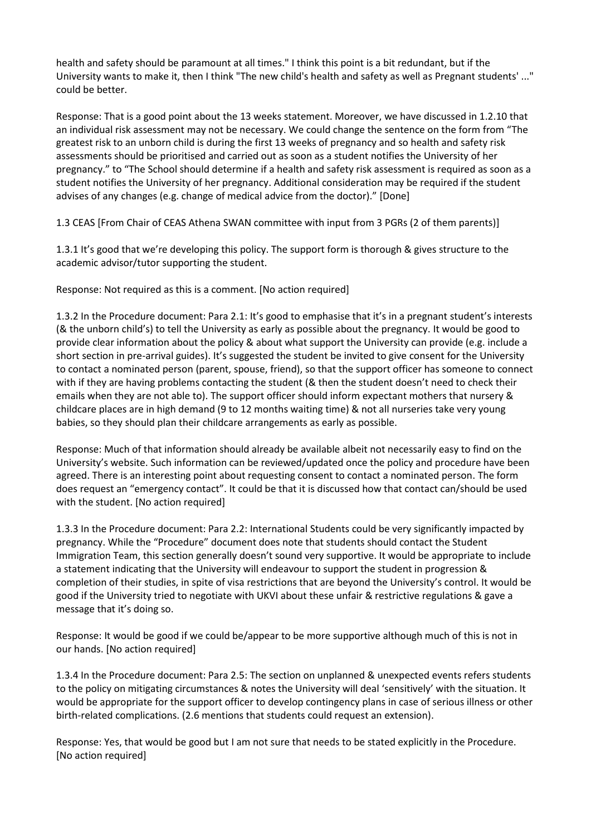health and safety should be paramount at all times." I think this point is a bit redundant, but if the University wants to make it, then I think "The new child's health and safety as well as Pregnant students' ..." could be better.

Response: That is a good point about the 13 weeks statement. Moreover, we have discussed in 1.2.10 that an individual risk assessment may not be necessary. We could change the sentence on the form from "The greatest risk to an unborn child is during the first 13 weeks of pregnancy and so health and safety risk assessments should be prioritised and carried out as soon as a student notifies the University of her pregnancy." to "The School should determine if a health and safety risk assessment is required as soon as a student notifies the University of her pregnancy. Additional consideration may be required if the student advises of any changes (e.g. change of medical advice from the doctor)." [Done]

1.3 CEAS [From Chair of CEAS Athena SWAN committee with input from 3 PGRs (2 of them parents)]

1.3.1 It's good that we're developing this policy. The support form is thorough & gives structure to the academic advisor/tutor supporting the student.

Response: Not required as this is a comment. [No action required]

1.3.2 In the Procedure document: Para 2.1: It's good to emphasise that it's in a pregnant student's interests (& the unborn child's) to tell the University as early as possible about the pregnancy. It would be good to provide clear information about the policy & about what support the University can provide (e.g. include a short section in pre-arrival guides). It's suggested the student be invited to give consent for the University to contact a nominated person (parent, spouse, friend), so that the support officer has someone to connect with if they are having problems contacting the student (& then the student doesn't need to check their emails when they are not able to). The support officer should inform expectant mothers that nursery & childcare places are in high demand (9 to 12 months waiting time) & not all nurseries take very young babies, so they should plan their childcare arrangements as early as possible.

Response: Much of that information should already be available albeit not necessarily easy to find on the University's website. Such information can be reviewed/updated once the policy and procedure have been agreed. There is an interesting point about requesting consent to contact a nominated person. The form does request an "emergency contact". It could be that it is discussed how that contact can/should be used with the student. [No action required]

1.3.3 In the Procedure document: Para 2.2: International Students could be very significantly impacted by pregnancy. While the "Procedure" document does note that students should contact the Student Immigration Team, this section generally doesn't sound very supportive. It would be appropriate to include a statement indicating that the University will endeavour to support the student in progression & completion of their studies, in spite of visa restrictions that are beyond the University's control. It would be good if the University tried to negotiate with UKVI about these unfair & restrictive regulations & gave a message that it's doing so.

Response: It would be good if we could be/appear to be more supportive although much of this is not in our hands. [No action required]

1.3.4 In the Procedure document: Para 2.5: The section on unplanned & unexpected events refers students to the policy on mitigating circumstances & notes the University will deal 'sensitively' with the situation. It would be appropriate for the support officer to develop contingency plans in case of serious illness or other birth-related complications. (2.6 mentions that students could request an extension).

Response: Yes, that would be good but I am not sure that needs to be stated explicitly in the Procedure. [No action required]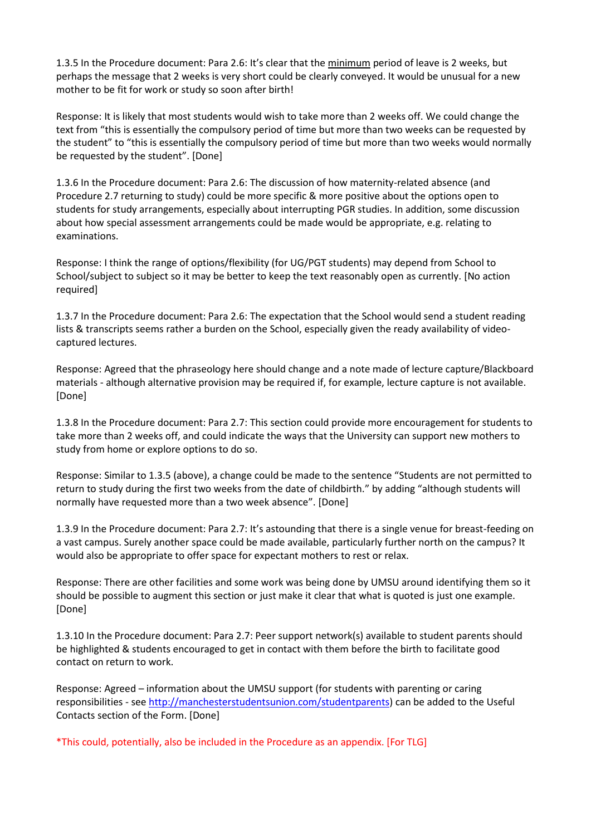1.3.5 In the Procedure document: Para 2.6: It's clear that the minimum period of leave is 2 weeks, but perhaps the message that 2 weeks is very short could be clearly conveyed. It would be unusual for a new mother to be fit for work or study so soon after birth!

Response: It is likely that most students would wish to take more than 2 weeks off. We could change the text from "this is essentially the compulsory period of time but more than two weeks can be requested by the student" to "this is essentially the compulsory period of time but more than two weeks would normally be requested by the student". [Done]

1.3.6 In the Procedure document: Para 2.6: The discussion of how maternity-related absence (and Procedure 2.7 returning to study) could be more specific & more positive about the options open to students for study arrangements, especially about interrupting PGR studies. In addition, some discussion about how special assessment arrangements could be made would be appropriate, e.g. relating to examinations.

Response: I think the range of options/flexibility (for UG/PGT students) may depend from School to School/subject to subject so it may be better to keep the text reasonably open as currently. [No action required]

1.3.7 In the Procedure document: Para 2.6: The expectation that the School would send a student reading lists & transcripts seems rather a burden on the School, especially given the ready availability of videocaptured lectures.

Response: Agreed that the phraseology here should change and a note made of lecture capture/Blackboard materials - although alternative provision may be required if, for example, lecture capture is not available. [Done]

1.3.8 In the Procedure document: Para 2.7: This section could provide more encouragement for students to take more than 2 weeks off, and could indicate the ways that the University can support new mothers to study from home or explore options to do so.

Response: Similar to 1.3.5 (above), a change could be made to the sentence "Students are not permitted to return to study during the first two weeks from the date of childbirth." by adding "although students will normally have requested more than a two week absence". [Done]

1.3.9 In the Procedure document: Para 2.7: It's astounding that there is a single venue for breast-feeding on a vast campus. Surely another space could be made available, particularly further north on the campus? It would also be appropriate to offer space for expectant mothers to rest or relax.

Response: There are other facilities and some work was being done by UMSU around identifying them so it should be possible to augment this section or just make it clear that what is quoted is just one example. [Done]

1.3.10 In the Procedure document: Para 2.7: Peer support network(s) available to student parents should be highlighted & students encouraged to get in contact with them before the birth to facilitate good contact on return to work.

Response: Agreed – information about the UMSU support (for students with parenting or caring responsibilities - see [http://manchesterstudentsunion.com/studentparents\)](http://manchesterstudentsunion.com/studentparents) can be added to the Useful Contacts section of the Form. [Done]

\*This could, potentially, also be included in the Procedure as an appendix. [For TLG]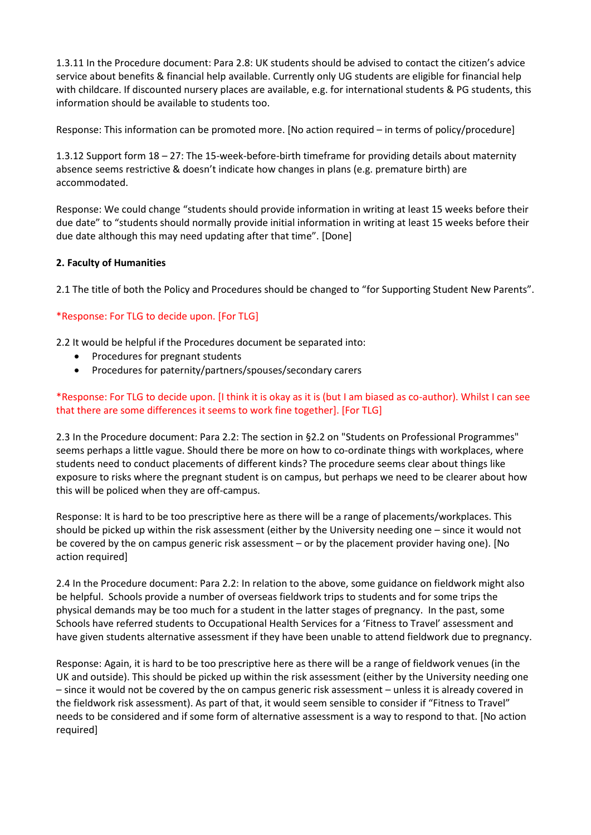1.3.11 In the Procedure document: Para 2.8: UK students should be advised to contact the citizen's advice service about benefits & financial help available. Currently only UG students are eligible for financial help with childcare. If discounted nursery places are available, e.g. for international students & PG students, this information should be available to students too.

Response: This information can be promoted more. [No action required – in terms of policy/procedure]

1.3.12 Support form 18 – 27: The 15-week-before-birth timeframe for providing details about maternity absence seems restrictive & doesn't indicate how changes in plans (e.g. premature birth) are accommodated.

Response: We could change "students should provide information in writing at least 15 weeks before their due date" to "students should normally provide initial information in writing at least 15 weeks before their due date although this may need updating after that time". [Done]

# **2. Faculty of Humanities**

2.1 The title of both the Policy and Procedures should be changed to "for Supporting Student New Parents".

# \*Response: For TLG to decide upon. [For TLG]

2.2 It would be helpful if the Procedures document be separated into:

- Procedures for pregnant students
- Procedures for paternity/partners/spouses/secondary carers

## \*Response: For TLG to decide upon. [I think it is okay as it is (but I am biased as co-author). Whilst I can see that there are some differences it seems to work fine together]. [For TLG]

2.3 In the Procedure document: Para 2.2: The section in §2.2 on "Students on Professional Programmes" seems perhaps a little vague. Should there be more on how to co-ordinate things with workplaces, where students need to conduct placements of different kinds? The procedure seems clear about things like exposure to risks where the pregnant student is on campus, but perhaps we need to be clearer about how this will be policed when they are off-campus.

Response: It is hard to be too prescriptive here as there will be a range of placements/workplaces. This should be picked up within the risk assessment (either by the University needing one – since it would not be covered by the on campus generic risk assessment – or by the placement provider having one). [No action required]

2.4 In the Procedure document: Para 2.2: In relation to the above, some guidance on fieldwork might also be helpful. Schools provide a number of overseas fieldwork trips to students and for some trips the physical demands may be too much for a student in the latter stages of pregnancy. In the past, some Schools have referred students to Occupational Health Services for a 'Fitness to Travel' assessment and have given students alternative assessment if they have been unable to attend fieldwork due to pregnancy.

Response: Again, it is hard to be too prescriptive here as there will be a range of fieldwork venues (in the UK and outside). This should be picked up within the risk assessment (either by the University needing one – since it would not be covered by the on campus generic risk assessment – unless it is already covered in the fieldwork risk assessment). As part of that, it would seem sensible to consider if "Fitness to Travel" needs to be considered and if some form of alternative assessment is a way to respond to that. [No action required]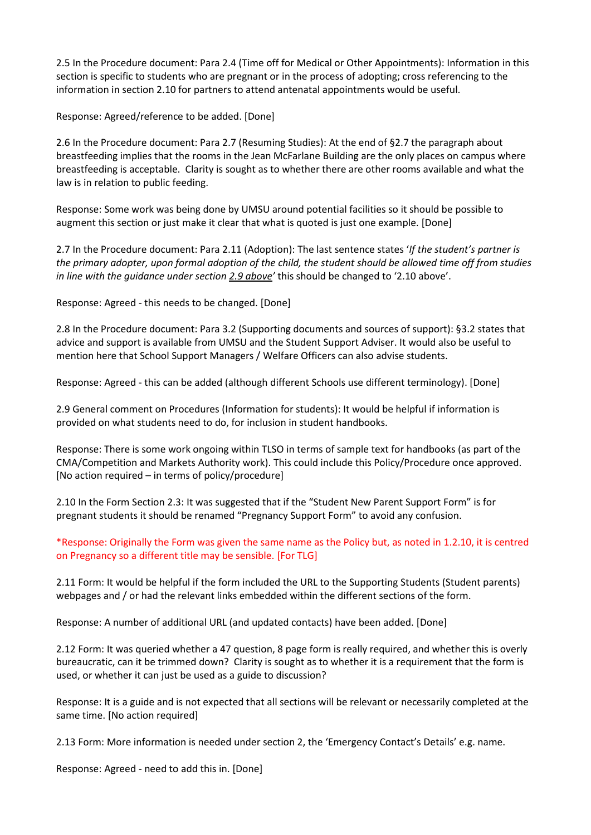2.5 In the Procedure document: Para 2.4 (Time off for Medical or Other Appointments): Information in this section is specific to students who are pregnant or in the process of adopting; cross referencing to the information in section 2.10 for partners to attend antenatal appointments would be useful.

Response: Agreed/reference to be added. [Done]

2.6 In the Procedure document: Para 2.7 (Resuming Studies): At the end of §2.7 the paragraph about breastfeeding implies that the rooms in the Jean McFarlane Building are the only places on campus where breastfeeding is acceptable. Clarity is sought as to whether there are other rooms available and what the law is in relation to public feeding.

Response: Some work was being done by UMSU around potential facilities so it should be possible to augment this section or just make it clear that what is quoted is just one example. [Done]

2.7 In the Procedure document: Para 2.11 (Adoption): The last sentence states '*If the student's partner is the primary adopter, upon formal adoption of the child, the student should be allowed time off from studies in line with the guidance under section 2.9 above'* this should be changed to '2.10 above'.

Response: Agreed - this needs to be changed. [Done]

2.8 In the Procedure document: Para 3.2 (Supporting documents and sources of support): §3.2 states that advice and support is available from UMSU and the Student Support Adviser. It would also be useful to mention here that School Support Managers / Welfare Officers can also advise students.

Response: Agreed - this can be added (although different Schools use different terminology). [Done]

2.9 General comment on Procedures (Information for students): It would be helpful if information is provided on what students need to do, for inclusion in student handbooks.

Response: There is some work ongoing within TLSO in terms of sample text for handbooks (as part of the CMA/Competition and Markets Authority work). This could include this Policy/Procedure once approved. [No action required – in terms of policy/procedure]

2.10 In the Form Section 2.3: It was suggested that if the "Student New Parent Support Form" is for pregnant students it should be renamed "Pregnancy Support Form" to avoid any confusion.

\*Response: Originally the Form was given the same name as the Policy but, as noted in 1.2.10, it is centred on Pregnancy so a different title may be sensible. [For TLG]

2.11 Form: It would be helpful if the form included the URL to the Supporting Students (Student parents) webpages and / or had the relevant links embedded within the different sections of the form.

Response: A number of additional URL (and updated contacts) have been added. [Done]

2.12 Form: It was queried whether a 47 question, 8 page form is really required, and whether this is overly bureaucratic, can it be trimmed down? Clarity is sought as to whether it is a requirement that the form is used, or whether it can just be used as a guide to discussion?

Response: It is a guide and is not expected that all sections will be relevant or necessarily completed at the same time. [No action required]

2.13 Form: More information is needed under section 2, the 'Emergency Contact's Details' e.g. name.

Response: Agreed - need to add this in. [Done]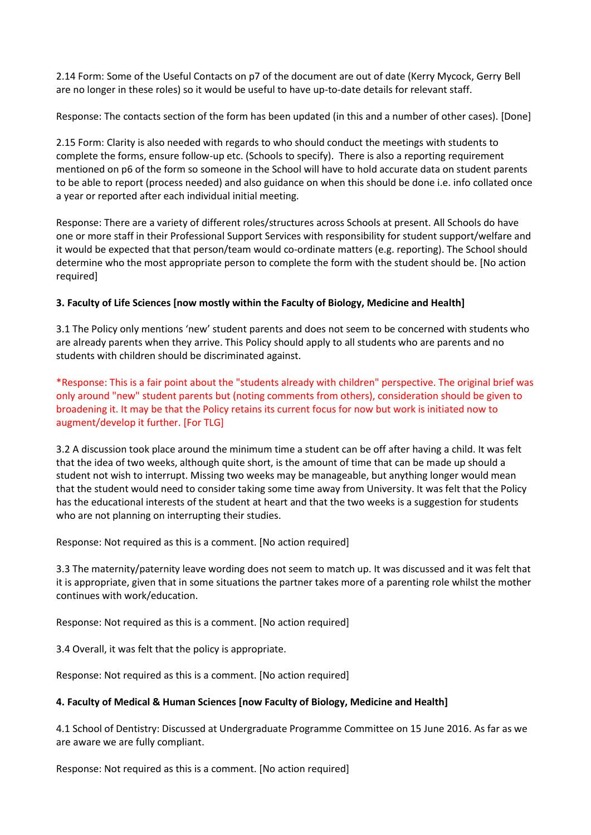2.14 Form: Some of the Useful Contacts on p7 of the document are out of date (Kerry Mycock, Gerry Bell are no longer in these roles) so it would be useful to have up-to-date details for relevant staff.

Response: The contacts section of the form has been updated (in this and a number of other cases). [Done]

2.15 Form: Clarity is also needed with regards to who should conduct the meetings with students to complete the forms, ensure follow-up etc. (Schools to specify). There is also a reporting requirement mentioned on p6 of the form so someone in the School will have to hold accurate data on student parents to be able to report (process needed) and also guidance on when this should be done i.e. info collated once a year or reported after each individual initial meeting.

Response: There are a variety of different roles/structures across Schools at present. All Schools do have one or more staff in their Professional Support Services with responsibility for student support/welfare and it would be expected that that person/team would co-ordinate matters (e.g. reporting). The School should determine who the most appropriate person to complete the form with the student should be. [No action required]

## **3. Faculty of Life Sciences [now mostly within the Faculty of Biology, Medicine and Health]**

3.1 The Policy only mentions 'new' student parents and does not seem to be concerned with students who are already parents when they arrive. This Policy should apply to all students who are parents and no students with children should be discriminated against.

\*Response: This is a fair point about the "students already with children" perspective. The original brief was only around "new" student parents but (noting comments from others), consideration should be given to broadening it. It may be that the Policy retains its current focus for now but work is initiated now to augment/develop it further. [For TLG]

3.2 A discussion took place around the minimum time a student can be off after having a child. It was felt that the idea of two weeks, although quite short, is the amount of time that can be made up should a student not wish to interrupt. Missing two weeks may be manageable, but anything longer would mean that the student would need to consider taking some time away from University. It was felt that the Policy has the educational interests of the student at heart and that the two weeks is a suggestion for students who are not planning on interrupting their studies.

Response: Not required as this is a comment. [No action required]

3.3 The maternity/paternity leave wording does not seem to match up. It was discussed and it was felt that it is appropriate, given that in some situations the partner takes more of a parenting role whilst the mother continues with work/education.

Response: Not required as this is a comment. [No action required]

3.4 Overall, it was felt that the policy is appropriate.

Response: Not required as this is a comment. [No action required]

#### **4. Faculty of Medical & Human Sciences [now Faculty of Biology, Medicine and Health]**

4.1 School of Dentistry: Discussed at Undergraduate Programme Committee on 15 June 2016. As far as we are aware we are fully compliant.

Response: Not required as this is a comment. [No action required]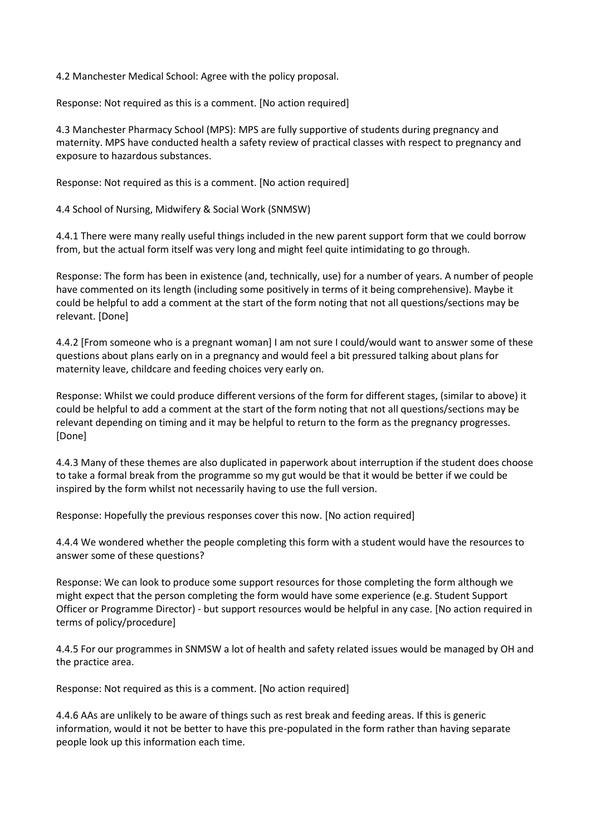4.2 Manchester Medical School: Agree with the policy proposal.

Response: Not required as this is a comment. [No action required]

4.3 Manchester Pharmacy School (MPS): MPS are fully supportive of students during pregnancy and maternity. MPS have conducted health a safety review of practical classes with respect to pregnancy and exposure to hazardous substances.

Response: Not required as this is a comment. [No action required]

4.4 School of Nursing, Midwifery & Social Work (SNMSW)

4.4.1 There were many really useful things included in the new parent support form that we could borrow from, but the actual form itself was very long and might feel quite intimidating to go through.

Response: The form has been in existence (and, technically, use) for a number of years. A number of people have commented on its length (including some positively in terms of it being comprehensive). Maybe it could be helpful to add a comment at the start of the form noting that not all questions/sections may be relevant. [Done]

4.4.2 [From someone who is a pregnant woman] I am not sure I could/would want to answer some of these questions about plans early on in a pregnancy and would feel a bit pressured talking about plans for maternity leave, childcare and feeding choices very early on.

Response: Whilst we could produce different versions of the form for different stages, (similar to above) it could be helpful to add a comment at the start of the form noting that not all questions/sections may be relevant depending on timing and it may be helpful to return to the form as the pregnancy progresses. [Done]

4.4.3 Many of these themes are also duplicated in paperwork about interruption if the student does choose to take a formal break from the programme so my gut would be that it would be better if we could be inspired by the form whilst not necessarily having to use the full version.

Response: Hopefully the previous responses cover this now. [No action required]

4.4.4 We wondered whether the people completing this form with a student would have the resources to answer some of these questions?

Response: We can look to produce some support resources for those completing the form although we might expect that the person completing the form would have some experience (e.g. Student Support Officer or Programme Director) - but support resources would be helpful in any case. [No action required in terms of policy/procedure]

4.4.5 For our programmes in SNMSW a lot of health and safety related issues would be managed by OH and the practice area.

Response: Not required as this is a comment. [No action required]

4.4.6 AAs are unlikely to be aware of things such as rest break and feeding areas. If this is generic information, would it not be better to have this pre-populated in the form rather than having separate people look up this information each time.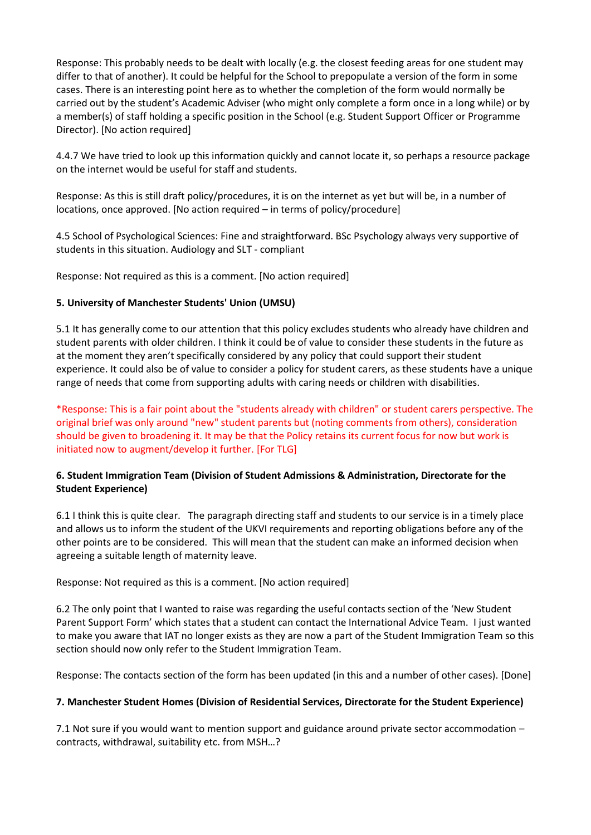Response: This probably needs to be dealt with locally (e.g. the closest feeding areas for one student may differ to that of another). It could be helpful for the School to prepopulate a version of the form in some cases. There is an interesting point here as to whether the completion of the form would normally be carried out by the student's Academic Adviser (who might only complete a form once in a long while) or by a member(s) of staff holding a specific position in the School (e.g. Student Support Officer or Programme Director). [No action required]

4.4.7 We have tried to look up this information quickly and cannot locate it, so perhaps a resource package on the internet would be useful for staff and students.

Response: As this is still draft policy/procedures, it is on the internet as yet but will be, in a number of locations, once approved. [No action required – in terms of policy/procedure]

4.5 School of Psychological Sciences: Fine and straightforward. BSc Psychology always very supportive of students in this situation. Audiology and SLT - compliant

Response: Not required as this is a comment. [No action required]

## **5. University of Manchester Students' Union (UMSU)**

5.1 It has generally come to our attention that this policy excludes students who already have children and student parents with older children. I think it could be of value to consider these students in the future as at the moment they aren't specifically considered by any policy that could support their student experience. It could also be of value to consider a policy for student carers, as these students have a unique range of needs that come from supporting adults with caring needs or children with disabilities.

\*Response: This is a fair point about the "students already with children" or student carers perspective. The original brief was only around "new" student parents but (noting comments from others), consideration should be given to broadening it. It may be that the Policy retains its current focus for now but work is initiated now to augment/develop it further. [For TLG]

## **6. Student Immigration Team (Division of Student Admissions & Administration, Directorate for the Student Experience)**

6.1 I think this is quite clear. The paragraph directing staff and students to our service is in a timely place and allows us to inform the student of the UKVI requirements and reporting obligations before any of the other points are to be considered. This will mean that the student can make an informed decision when agreeing a suitable length of maternity leave.

Response: Not required as this is a comment. [No action required]

6.2 The only point that I wanted to raise was regarding the useful contacts section of the 'New Student Parent Support Form' which states that a student can contact the International Advice Team. I just wanted to make you aware that IAT no longer exists as they are now a part of the Student Immigration Team so this section should now only refer to the Student Immigration Team.

Response: The contacts section of the form has been updated (in this and a number of other cases). [Done]

#### **7. Manchester Student Homes (Division of Residential Services, Directorate for the Student Experience)**

7.1 Not sure if you would want to mention support and guidance around private sector accommodation – contracts, withdrawal, suitability etc. from MSH…?